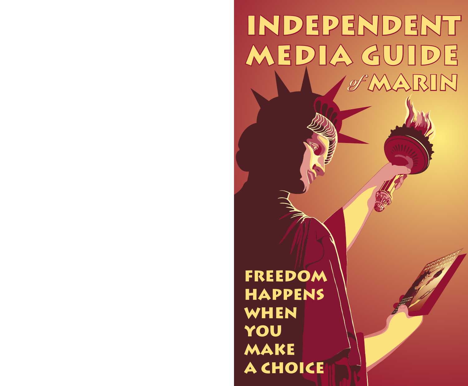# independent MEDIA GUIDE  $\sqrt{N\sqrt{N}}$ RIN *of*

freedom **HAPPENS WHEN** you make a choice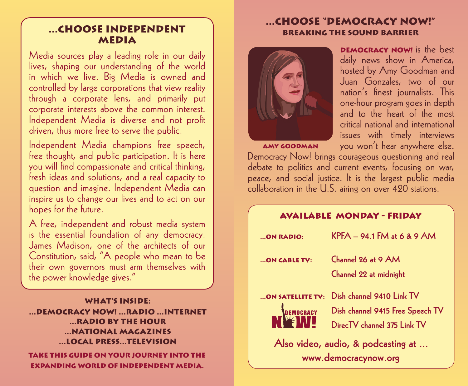## ...Choose independent **MEDIA**

Media sources play a leading role in our daily lives, shaping our understanding of the world in which we live. Big Media is owned and controlled by large corporations that view reality through a corporate lens, and primarily put corporate interests above the common interest. Independent Media is diverse and not profit driven, thus more free to serve the public.

Independent Media champions free speech, free thought, and public participation. It is here you will find compassionate and critical thinking, fresh ideas and solutions, and a real capacity to question and imagine. Independent Media can inspire us to change our lives and to act on our hopes for the future.

A free, independent and robust media system is the essential foundation of any democracy. James Madison, one of the architects of our Constitution, said, "A people who mean to be their own governors must arm themselves with the power knowledge gives."

#### What's Inside: ...Democracy now! ...radio ...internet ...radio by the hour ...national magazines ...local press...television

Take this guide on your journey into the expanding world of independent media.

## ...choose "democracy now!" breaking the sound barrier



**DEMOCRACY NOW!** is the best daily news show in America, hosted by Amy Goodman and Juan Gonzales, two of our nation's finest journalists. This one-hour program goes in depth and to the heart of the most critical national and international issues with timely interviews you won't hear anywhere else.

Amy Goodman

Democracy Now! brings courageous questioning and real debate to politics and current events, focusing on war, peace, and social justice. It is the largest public media collaboration in the U.S. airing on over 420 stations.

| <b>AVAILABLE MONDAY - FRIDAY</b>   |                                  |  |  |  |  |  |
|------------------------------------|----------------------------------|--|--|--|--|--|
| ON RADIO:                          | $KPFA = 94.1$ FM at 6 & 9 AM     |  |  |  |  |  |
| ON CABLE TV:                       | Channel 26 at 9 AM               |  |  |  |  |  |
|                                    | Channel 22 at midnight           |  |  |  |  |  |
| ON SATELLITE TV:                   | Dish channel 9410 Link TV        |  |  |  |  |  |
| EMOCRACY                           | Dish channel 9415 Free Speech TV |  |  |  |  |  |
|                                    | DirecTV channel 375 Link TV      |  |  |  |  |  |
| Also video, audio, & podcasting at |                                  |  |  |  |  |  |
| www.democracynow.org               |                                  |  |  |  |  |  |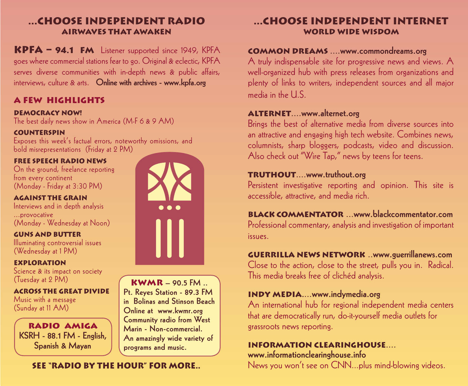## ...choose independent radio airwaves that awaken

KPFA – 94.1 FM Listener supported since 1949, KPFA goes where commercial stations fear to go. Original & eclectic, KPFA serves diverse communities with in-depth news & public affairs, interviews, culture & arts. Online with archives - www.kpfa.org

## a few highlights

#### Democracy Now!

The best daily news show in America (M-F 6 & 9 AM)

#### **COUNTERSPIN**

Exposes this week's factual errors, noteworthy omissions, and bold misrepresentations (Friday at 2 PM)

#### Free Speech Radio News

On the ground, freelance reporting from every continent (Monday - Friday at 3:30 PM)

Against the Grain Interviews and in depth analysis ...provocative (Monday - Wednesday at Noon)

#### Guns and Butter

Illuminating controversial issues (Wednesday at 1 PM)

#### Exploration

Science & its impact on society (Tuesday at 2 PM)

Across the Great Divide Music with a message (Sunday at 11 AM)

radio amiga KSRH - 88.1 FM - English, Spanish & Mayan



#### $KWMR - 90.5$  FM .. Pt. Reyes Station - 89.3 FM in Bolinas and Stinson Beach Online at www.kwmr.org Community radio from West

Marin - Non-commercial. An amazingly wide variety of programs and music.

## See "radio by the hour" for more..

## ...choose independent internet World wide wisdom

#### Common Dreams ....www.commondreams.org

A truly indispensable site for progressive news and views. A well-organized hub with press releases from organizations and plenty of links to writers, independent sources and all major media in the U.S.

#### ALTERNET....www.alternet.org

Brings the best of alternative media from diverse sources into an attractive and engaging high tech website. Combines news, columnists, sharp bloggers, podcasts, video and discussion. Also check out "Wire Tap," news by teens for teens.

#### Truthout....www.truthout.org

Persistent investigative reporting and opinion. This site is accessible, attractive, and media rich.

Black Commentator ...www.blackcommentator.com Professional commentary, analysis and investigation of important issues.

#### Guerrilla News Network ..www.guerrillanews.com

Close to the action, close to the street, pulls you in. Radical. This media breaks free of clichéd analysis.

#### Indy Media....www.indymedia.org

An international hub for regional independent media centers that are democratically run, do-it-yourself media outlets for grassroots news reporting.

## Information Clearinghouse.... www.informationclearinghouse.info

News you won't see on CNN...plus mind-blowing videos.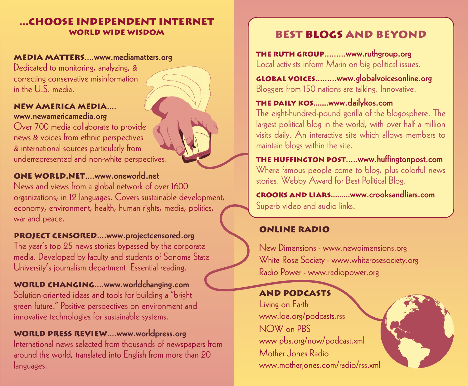## ...choose independent internet World wide wisdom

#### MEDIA MATTERS....www.mediamatters.org

Dedicated to monitoring, analyzing, & correcting conservative misinformation in the U.S. media.

#### New America Media.... www.newamericamedia.org

Over 700 media collaborate to provide news & voices from ethnic perspectives & international sources particularly from underrepresented and non-white perspectives.

#### One World.net....www.oneworld.net

News and views from a global network of over 1600 organizations, in 12 languages. Covers sustainable development, economy, environment, health, human rights, media, politics, war and peace.

#### PROJECT CENSORED....www.projectcensored.org

The year's top 25 news stories bypassed by the corporate media. Developed by faculty and students of Sonoma State University's journalism department. Essential reading.

WORLD CHANGING....www.worldchanging.com Solution-oriented ideas and tools for building a "bright green future." Positive perspectives on environment and innovative technologies for sustainable systems.

#### World Press Review....www.worldpress.org

International news selected from thousands of newspapers from around the world, translated into English from more than 20 languages.

## Best blogs and beyond

the ruth group.........www.ruthgroup.org Local activists inform Marin on big political issues.

global voices.........www.globalvoicesonline.org Bloggers from 150 nations are talking. Innovative.

## the daily kos.......www.dailykos.com

The eight-hundred-pound gorilla of the blogosphere. The largest political blog in the world, with over half a million visits daily. An interactive site which allows members to maintain blogs within the site.

the huffington post.....www.huffingtonpost.com Where famous people come to blog, plus colorful news stories. Webby Award for Best Political Blog.

Crooks and Liars.........www.crooksandliars.com Superb video and audio links.

## online radio

New Dimensions - www.newdimensions.org White Rose Society - www.whiterosesociety.org Radio Power - www.radiopower.org

## and podcasts

Living on Earth www.loe.org/podcasts.rss NOW on PBS www.pbs.org/now/podcast.xml Mother Jones Radio www.motherjones.com/radio/rss.xml

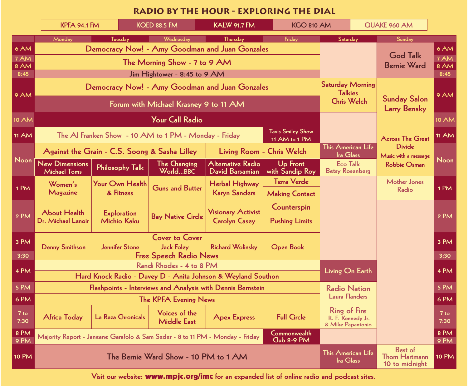## **Radio By the Hour - exploring the dial**

|              |                                                                                                             | <b>KPFA 94.1 FM</b><br><b>KQED 88.5 FM</b><br><b>KALW 91.7 FM</b><br><b>KGO 810 AM</b> |                                      | QUAKE 960 AM                                |                                    |                                                                 |                                    |                                                                       |                |
|--------------|-------------------------------------------------------------------------------------------------------------|----------------------------------------------------------------------------------------|--------------------------------------|---------------------------------------------|------------------------------------|-----------------------------------------------------------------|------------------------------------|-----------------------------------------------------------------------|----------------|
|              | Monday                                                                                                      | <b>Tuesday</b>                                                                         | Wednesday                            | <b>Thursday</b>                             | Friday                             | Saturday                                                        |                                    | Sunday                                                                |                |
| 6 AM         | Democracy Now! - Amy Goodman and Juan Gonzales                                                              |                                                                                        |                                      |                                             |                                    |                                                                 |                                    | <b>God Talk</b>                                                       | 6 AM           |
| 7 AM         | The Morning Show - 7 to 9 AM                                                                                |                                                                                        |                                      |                                             |                                    |                                                                 |                                    |                                                                       | 7 AM           |
| 8 AM<br>8:45 | Jim Hightower - 8:45 to 9 AM                                                                                |                                                                                        |                                      |                                             |                                    |                                                                 |                                    | <b>Bernie Ward</b>                                                    | 8 AM<br>8:45   |
| <b>9 AM</b>  | Democracy Now! - Amy Goodman and Juan Gonzales                                                              |                                                                                        |                                      |                                             |                                    | <b>Saturday Morning</b><br><b>Talkies</b><br><b>Chris Welch</b> |                                    | <b>Sunday Salon</b><br><b>Larry Bensky</b><br><b>Across The Great</b> | 9 AM           |
|              | Forum with Michael Krasney 9 to 11 AM                                                                       |                                                                                        |                                      |                                             |                                    |                                                                 |                                    |                                                                       |                |
| <b>10 AM</b> | <b>Your Call Radio</b>                                                                                      |                                                                                        |                                      |                                             |                                    |                                                                 |                                    |                                                                       | <b>10 AM</b>   |
| <b>11 AM</b> | <b>Tavis Smiley Show</b><br>The Al Franken Show - 10 AM to 1 PM - Monday - Friday<br>11 AM to 1 PM          |                                                                                        |                                      |                                             |                                    |                                                                 |                                    |                                                                       | <b>11 AM</b>   |
| Noon         |                                                                                                             | Against the Grain - C.S. Soong & Sasha Lilley                                          |                                      | Living Room - Chris Welch                   |                                    | This American Life<br><b>Ira Glass</b>                          |                                    | <b>Divide</b><br>Music with a message                                 |                |
|              | <b>New Dimensions</b><br><b>Michael Toms</b>                                                                | <b>Philosophy Talk</b>                                                                 | <b>The Changing</b><br>WorldBBC      | <b>Alternative Radio</b><br>David Barsamian | <b>Up Front</b><br>with Sandip Roy |                                                                 | Eco Talk<br><b>Betsy Rosenberg</b> | <b>Robbie Osman</b>                                                   | Noon           |
| 1PM          | Women's<br>Magazine                                                                                         | Your Own Health<br>& Fitness                                                           | <b>Guns and Butter</b>               | <b>Herbal Highway</b>                       | <b>Terra Verde</b>                 |                                                                 |                                    | <b>Mother Jones</b><br>Radio                                          | 1PM            |
|              |                                                                                                             |                                                                                        |                                      | <b>Karyn Sanders</b>                        | <b>Making Contact</b>              |                                                                 |                                    |                                                                       |                |
| 2 PM         | <b>About Health</b><br><b>Exploration</b>                                                                   |                                                                                        | <b>Visionary Activist</b>            | Counterspin                                 |                                    |                                                                 |                                    |                                                                       |                |
|              | Dr. Michael Lenoir                                                                                          | <b>Michio Kaku</b>                                                                     | <b>Bay Native Circle</b>             | <b>Carolyn Casey</b>                        | <b>Pushing Limits</b>              |                                                                 |                                    |                                                                       | 2 PM           |
| 3 PM         | <b>Cover to Cover</b>                                                                                       |                                                                                        |                                      |                                             |                                    |                                                                 |                                    |                                                                       | 3 PM           |
|              | <b>Jennifer Stone</b><br><b>Jack Foley</b><br><b>Denny Smithson</b><br><b>Richard Wolinsky</b><br>Open Book |                                                                                        |                                      |                                             |                                    |                                                                 |                                    |                                                                       |                |
| 3:30         | <b>Free Speech Radio News</b><br>Randi Rhodes - 4 to 8 PM                                                   |                                                                                        |                                      |                                             |                                    |                                                                 |                                    |                                                                       | 3:30           |
| 4 PM         | Hard Knock Radio - Davey D - Anita Johnson & Weyland Southon                                                |                                                                                        |                                      |                                             | Living On Earth                    |                                                                 |                                    | 4 PM                                                                  |                |
| 5 PM         | Flashpoints - Interviews and Analysis with Dennis Bernstein                                                 |                                                                                        |                                      |                                             |                                    | <b>Radio Nation</b><br><b>Laura Flanders</b>                    |                                    | 5 PM                                                                  |                |
| 6 PM         | <b>The KPFA Evening News</b>                                                                                |                                                                                        |                                      |                                             |                                    |                                                                 |                                    | 6 PM                                                                  |                |
|              |                                                                                                             |                                                                                        |                                      |                                             |                                    | Ring of Fire                                                    |                                    |                                                                       |                |
| 7 to<br>7:30 | <b>Africa Today</b>                                                                                         | <b>La Raza Chronicals</b>                                                              | Voices of the<br><b>Middle East</b>  | <b>Apex Express</b>                         | <b>Full Circle</b>                 | R. F. Kennedy Jr.<br>& Mike Papantonio                          |                                    |                                                                       | $7$ to<br>7:30 |
| 8 PM<br>9 PM |                                                                                                             | Majority Report - Janeane Garafolo & Sam Seder - 8 to 11 PM - Monday - Friday          |                                      |                                             | Commonwealth<br>Club 8-9 PM        |                                                                 |                                    |                                                                       | 8 PM<br>9 PM   |
| <b>10 PM</b> |                                                                                                             |                                                                                        | The Bernie Ward Show - 10 PM to 1 AM |                                             |                                    | This American Life<br>Ira Glass                                 |                                    | Best of<br><b>Thom Hartmann</b><br>10 to midnight                     | <b>10 PM</b>   |

Visit our website: www.mpjc.org/imc for an expanded list of online radio and podcast sites.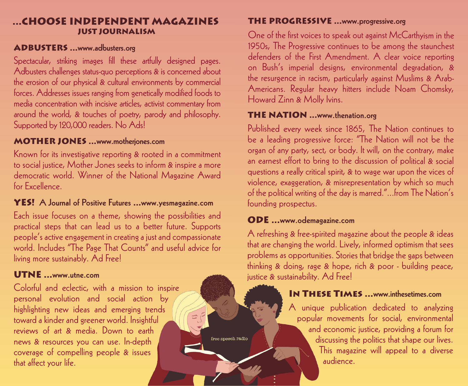### ...choose independent Magazines just journalism

#### ADBUSTERS ...www.adbusters.org

Spectacular, striking images fill these artfully designed pages. Adbusters challenges status-quo perceptions & is concerned about the erosion of our physical & cultural environments by commercial forces. Addresses issues ranging from genetically modified foods to media concentration with incisive articles, activist commentary from around the world, & touches of poetry, parody and philosophy. Supported by 120,000 readers. No Ads!

#### **MOTHER JONES** ...www.motherjones.com

Known for its investigative reporting & rooted in a commitment to social justice, Mother Jones seeks to inform & inspire a more democratic world. Winner of the National Magazine Award for Excellence.

## YES! A Journal of Positive Futures ...www.yesmagazine.com

Each issue focuses on a theme, showing the possibilities and practical steps that can lead us to a better future. Supports people's active engagement in creating a just and compassionate world. Includes "The Page That Counts" and useful advice for living more sustainably. Ad Free!

#### UTNE ...www.utne.com

Colorful and eclectic, with a mission to inspire personal evolution and social action by highlighting new ideas and emerging trends toward a kinder and greener world. Insightful reviews of art & media. Down to earth news & resources you can use. In-depth coverage of compelling people & issues that affect your life.

## THE PROGRESSIVE ...www.progressive.org

One of the first voices to speak out against McCarthyism in the 1950s, The Progressive continues to be among the staunchest defenders of the First Amendment. A clear voice reporting on Bush's imperial designs, environmental degradation, & the resurgence in racism, particularly against Muslims & Arab-Americans. Regular heavy hitters include Noam Chomsky, Howard Zinn & Molly Ivins.

#### **THE NATION** ...www.thenation.org

Published every week since 1865, The Nation continues to be a leading progressive force: "The Nation will not be the organ of any party, sect, or body. It will, on the contrary, make an earnest effort to bring to the discussion of political & social questions a really critical spirit, & to wage war upon the vices of violence, exaggeration, & misrepresentation by which so much of the political writing of the day is marred."...from The Nation's founding prospectus.

## ODE ...www.odemagazine.com

A refreshing & free-spirited magazine about the people & ideas that are changing the world. Lively, informed optimism that sees problems as opportunities. Stories that bridge the gaps between thinking & doing, rage & hope, rich & poor - building peace, justice & sustainability. Ad Free!

## In These Times ...www.inthesetimes.com

A unique publication dedicated to analyzing popular movements for social, environmental and economic justice, providing a forum for discussing the politics that shape our lives. This magazine will appeal to a diverse audience.

free speech radio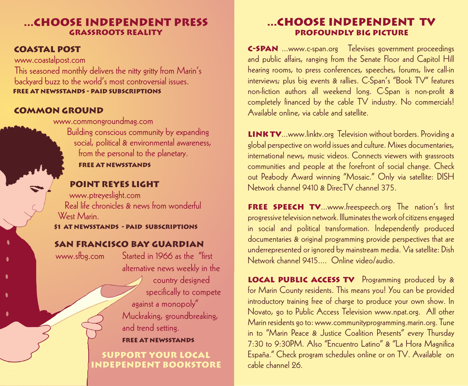## ...Choose independent press grassroots reality

#### Coastal Post

 www.coastalpost.com This seasoned monthly delivers the nitty gritty from Marin's backyard buzz to the world's most controversial issues. Free at newsstands - paid subscriptions

#### Common Ground

 www.commongroundmag.com Building conscious community by expanding social, political & environmental awareness, from the personal to the planetary.

Free at newsstands

#### Point Reyes Light

 www.ptreyeslight.com Real life chronicles & news from wonderful West Marin.

\$1 at newsstands - paid subscriptions

### San Francisco Bay Guardian

www.sfbg.com

Started in 1966 as the "first alternative news weekly in the country designed specifically to compete

 against a monopoly" Muckraking, groundbreaking, and trend setting.

#### free at newsstands

support your local independent bookstore

## ...choose independent tV Profoundly Big Picture

C-SPAN ...www.c-span.org Televises government proceedings and public affairs, ranging from the Senate Floor and Capitol Hill hearing rooms, to press conferences, speeches, forums, live call-in interviews; plus big events & rallies. C-Span's "Book TV" features non-fiction authors all weekend long. C-Span is non-profit & completely financed by the cable TV industry. No commercials! Available online, via cable and satellite.

LINK TV...www.linktv.org Television without borders. Providing a global perspective on world issues and culture. Mixes documentaries, international news, music videos. Connects viewers with grassroots communities and people at the forefront of social change. Check out Peabody Award winning "Mosaic." Only via satellite: DISH Network channel 9410 & DirecTV channel 375.

FREE SPEECH TV...www.freespeech.org The nation's first progressive television network. Illuminates the work of citizens engaged in social and political transformation. Independently produced documentaries & original programming provide perspectives that are underrepresented or ignored by mainstream media. Via satellite: Dish Network channel 9415.... Online video/audio.

LOCAL PUBLIC ACCESS TV Programming produced by & for Marin County residents. This means you! You can be provided introductory training free of charge to produce your own show. In Novato, go to Public Access Television www.npat.org. All other Marin residents go to: www.communityprogramming.marin.org. Tune in to "Marin Peace & Justice Coalition Presents" every Thursday 7:30 to 9:30PM. Also "Encuentro Latino" & "La Hora Magnifica España." Check program schedules online or on TV. Available on cable channel 26.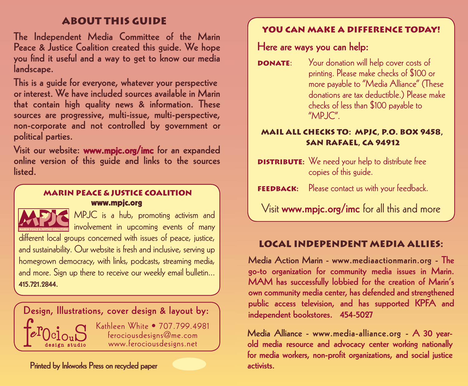## about this guide

The Independent Media Committee of the Marin Peace & Justice Coalition created this guide. We hope you find it useful and a way to get to know our media landscape.

This is a guide for everyone, whatever your perspective or interest. We have included sources available in Marin that contain high quality news & information. These sources are progressive, multi-issue, multi-perspective, non-corporate and not controlled by government or political parties.

Visit our website: www.mpjc.org/imc for an expanded online version of this guide and links to the sources listed.

#### Marin Peace & Justice Coalition www.mpjc.org



involvement in upcoming events of many different local groups concerned with issues of peace, justice, and sustainability. Our website is fresh and inclusive, serving up homegrown democracy, with links, podcasts, streaming media, and more. Sign up there to receive our weekly email bulletin... 415.721.2844.



Printed by Inkworks Press on recycled paper

## YOU CAN MAKE A DIFFERENCE TODAY!

Here are ways you can help:

**DONATE:** Your donation will help cover costs of printing. Please make checks of \$100 or more payable to "Media Alliance" (These donations are tax deductible.) Please make checks of less than \$100 payable to "MPJC".

#### Mail all checks to: MPJC, P.O. Box 9458, San Rafael, CA 94912

- **DISTRIBUTE:** We need your help to distribute free copies of this guide.
- **FEEDBACK:** Please contact us with your feedback.

 $\overline{a}$  MPJC is a hub, promoting activism and  $\overline{a}$   $\overline{a}$   $\overline{a}$   $\overline{a}$   $\overline{a}$   $\overline{a}$   $\overline{a}$   $\overline{a}$   $\overline{a}$   $\overline{a}$   $\overline{a}$   $\overline{a}$   $\overline{a}$   $\overline{a}$   $\overline{a}$   $\overline{a}$   $\overline{a}$   $\overline{a}$   $\overline{a}$   $\over$ 

## Local independent media allies:

Media Action Marin - www.mediaactionmarin.org - The go-to organization for community media issues in Marin. MAM has successfully lobbied for the creation of Marin's own community media center, has defended and strengthened public access television, and has supported KPFA and

Media Alliance - www.media-alliance.org - A 30 yearold media resource and advocacy center working nationally for media workers, non-profit organizations, and social justice activists.